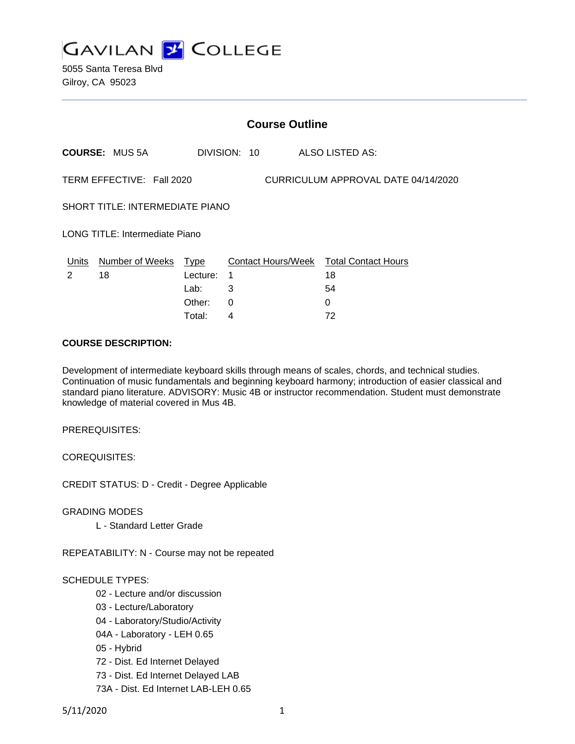

5055 Santa Teresa Blvd Gilroy, CA 95023

|                                                                  | <b>Course Outline</b>      |          |              |   |                                        |  |
|------------------------------------------------------------------|----------------------------|----------|--------------|---|----------------------------------------|--|
|                                                                  | <b>COURSE: MUS 5A</b>      |          | DIVISION: 10 |   | ALSO LISTED AS:                        |  |
| CURRICULUM APPROVAL DATE 04/14/2020<br>TERM EFFECTIVE: Fall 2020 |                            |          |              |   |                                        |  |
| SHORT TITLE: INTERMEDIATE PIANO                                  |                            |          |              |   |                                        |  |
| LONG TITLE: Intermediate Piano                                   |                            |          |              |   |                                        |  |
|                                                                  | Units Number of Weeks Type |          |              |   | Contact Hours/Week Total Contact Hours |  |
| $\mathcal{P}$                                                    | 18                         | Lecture: | -1           |   | 18                                     |  |
|                                                                  |                            | Lab:     | 3            |   | 54                                     |  |
|                                                                  |                            | Other:   | $\Omega$     | 0 |                                        |  |
|                                                                  |                            | Total:   | 4            |   | 72                                     |  |

#### **COURSE DESCRIPTION:**

Development of intermediate keyboard skills through means of scales, chords, and technical studies. Continuation of music fundamentals and beginning keyboard harmony; introduction of easier classical and standard piano literature. ADVISORY: Music 4B or instructor recommendation. Student must demonstrate knowledge of material covered in Mus 4B.

PREREQUISITES:

COREQUISITES:

CREDIT STATUS: D - Credit - Degree Applicable

GRADING MODES

L - Standard Letter Grade

REPEATABILITY: N - Course may not be repeated

## SCHEDULE TYPES:

- 02 Lecture and/or discussion
- 03 Lecture/Laboratory
- 04 Laboratory/Studio/Activity
- 04A Laboratory LEH 0.65
- 05 Hybrid
- 72 Dist. Ed Internet Delayed
- 73 Dist. Ed Internet Delayed LAB
- 73A Dist. Ed Internet LAB-LEH 0.65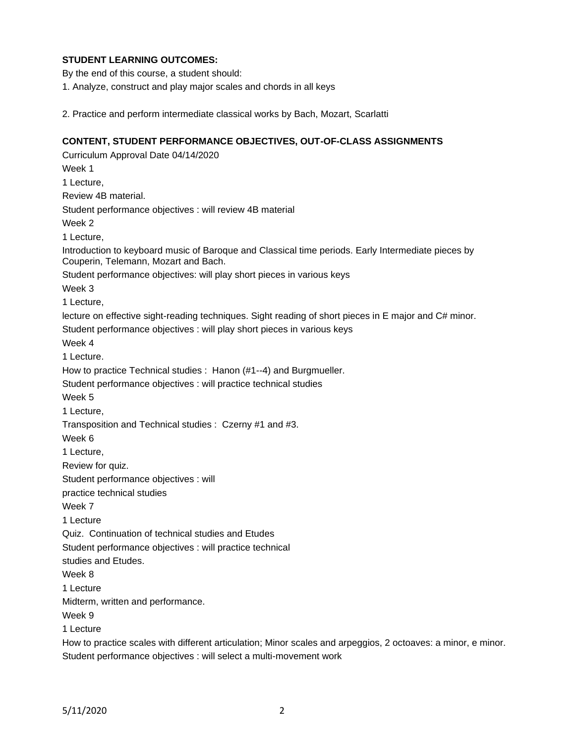# **STUDENT LEARNING OUTCOMES:**

By the end of this course, a student should:

1. Analyze, construct and play major scales and chords in all keys

2. Practice and perform intermediate classical works by Bach, Mozart, Scarlatti

## **CONTENT, STUDENT PERFORMANCE OBJECTIVES, OUT-OF-CLASS ASSIGNMENTS**

Curriculum Approval Date 04/14/2020 Week 1 1 Lecture, Review 4B material. Student performance objectives : will review 4B material Week 2 1 Lecture, Introduction to keyboard music of Baroque and Classical time periods. Early Intermediate pieces by Couperin, Telemann, Mozart and Bach. Student performance objectives: will play short pieces in various keys Week 3 1 Lecture, lecture on effective sight-reading techniques. Sight reading of short pieces in E major and C# minor. Student performance objectives : will play short pieces in various keys Week 4 1 Lecture. How to practice Technical studies : Hanon (#1--4) and Burgmueller. Student performance objectives : will practice technical studies Week 5 1 Lecture, Transposition and Technical studies : Czerny #1 and #3. Week 6 1 Lecture, Review for quiz. Student performance objectives : will practice technical studies Week 7 1 Lecture Quiz. Continuation of technical studies and Etudes Student performance objectives : will practice technical studies and Etudes. Week 8 1 Lecture Midterm, written and performance. Week 9 1 Lecture How to practice scales with different articulation; Minor scales and arpeggios, 2 octoaves: a minor, e minor.

Student performance objectives : will select a multi-movement work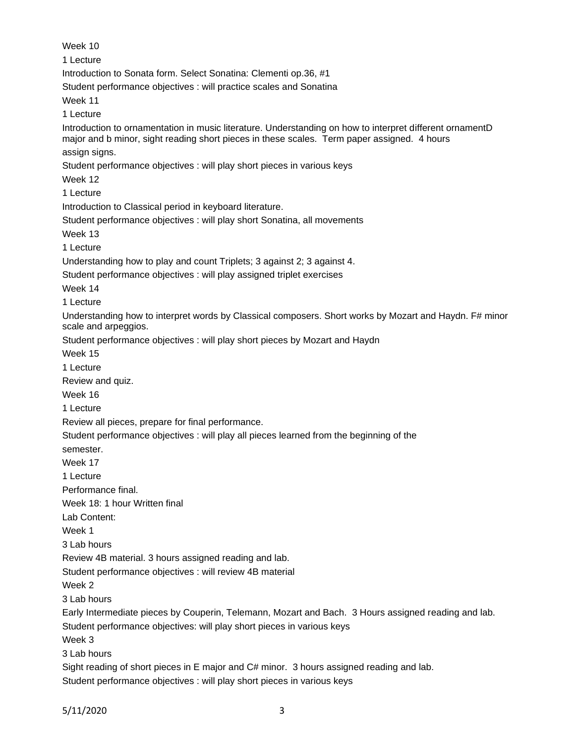Week 10 1 Lecture Introduction to Sonata form. Select Sonatina: Clementi op.36, #1 Student performance objectives : will practice scales and Sonatina Week 11 1 Lecture Introduction to ornamentation in music literature. Understanding on how to interpret different ornamentD major and b minor, sight reading short pieces in these scales. Term paper assigned. 4 hours assign signs. Student performance objectives : will play short pieces in various keys Week 12 1 Lecture Introduction to Classical period in keyboard literature. Student performance objectives : will play short Sonatina, all movements Week 13 1 Lecture Understanding how to play and count Triplets; 3 against 2; 3 against 4. Student performance objectives : will play assigned triplet exercises Week 14 1 Lecture Understanding how to interpret words by Classical composers. Short works by Mozart and Haydn. F# minor scale and arpeggios. Student performance objectives : will play short pieces by Mozart and Haydn Week 15 1 Lecture Review and quiz. Week 16 1 Lecture Review all pieces, prepare for final performance. Student performance objectives : will play all pieces learned from the beginning of the semester. Week 17 1 Lecture Performance final. Week 18: 1 hour Written final Lab Content: Week 1 3 Lab hours Review 4B material. 3 hours assigned reading and lab. Student performance objectives : will review 4B material Week 2 3 Lab hours Early Intermediate pieces by Couperin, Telemann, Mozart and Bach. 3 Hours assigned reading and lab. Student performance objectives: will play short pieces in various keys Week 3 3 Lab hours Sight reading of short pieces in E major and C# minor. 3 hours assigned reading and lab. Student performance objectives : will play short pieces in various keys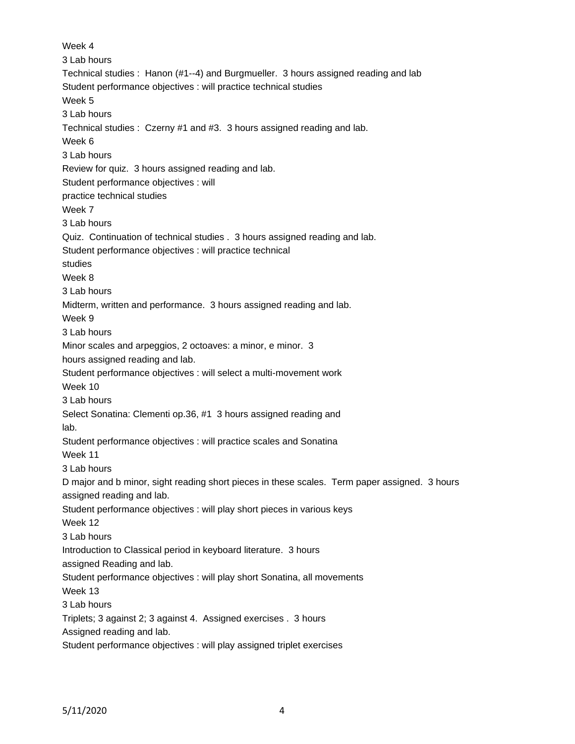Week 4 3 Lab hours Technical studies : Hanon (#1--4) and Burgmueller. 3 hours assigned reading and lab Student performance objectives : will practice technical studies Week 5 3 Lab hours Technical studies : Czerny #1 and #3. 3 hours assigned reading and lab. Week 6 3 Lab hours Review for quiz. 3 hours assigned reading and lab. Student performance objectives : will practice technical studies Week 7 3 Lab hours Quiz. Continuation of technical studies . 3 hours assigned reading and lab. Student performance objectives : will practice technical studies Week 8 3 Lab hours Midterm, written and performance. 3 hours assigned reading and lab. Week 9 3 Lab hours Minor scales and arpeggios, 2 octoaves: a minor, e minor. 3 hours assigned reading and lab. Student performance objectives : will select a multi-movement work Week 10 3 Lab hours Select Sonatina: Clementi op.36, #1 3 hours assigned reading and lab. Student performance objectives : will practice scales and Sonatina Week 11 3 Lab hours D major and b minor, sight reading short pieces in these scales. Term paper assigned. 3 hours assigned reading and lab. Student performance objectives : will play short pieces in various keys Week 12 3 Lab hours Introduction to Classical period in keyboard literature. 3 hours assigned Reading and lab. Student performance objectives : will play short Sonatina, all movements Week 13 3 Lab hours Triplets; 3 against 2; 3 against 4. Assigned exercises . 3 hours Assigned reading and lab. Student performance objectives : will play assigned triplet exercises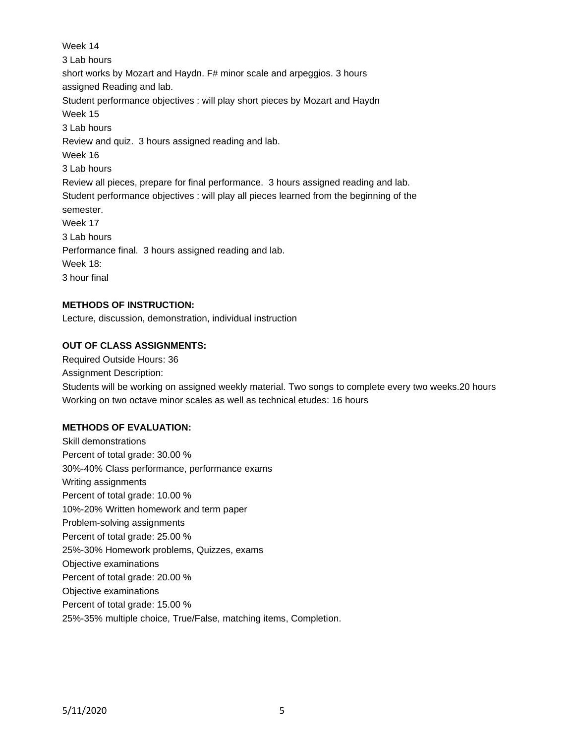Week 14 3 Lab hours short works by Mozart and Haydn. F# minor scale and arpeggios. 3 hours assigned Reading and lab. Student performance objectives : will play short pieces by Mozart and Haydn Week 15 3 Lab hours Review and quiz. 3 hours assigned reading and lab. Week 16 3 Lab hours Review all pieces, prepare for final performance. 3 hours assigned reading and lab. Student performance objectives : will play all pieces learned from the beginning of the semester. Week 17 3 Lab hours Performance final. 3 hours assigned reading and lab. Week 18: 3 hour final

## **METHODS OF INSTRUCTION:**

Lecture, discussion, demonstration, individual instruction

#### **OUT OF CLASS ASSIGNMENTS:**

Required Outside Hours: 36 Assignment Description: Students will be working on assigned weekly material. Two songs to complete every two weeks.20 hours Working on two octave minor scales as well as technical etudes: 16 hours

## **METHODS OF EVALUATION:**

Skill demonstrations Percent of total grade: 30.00 % 30%-40% Class performance, performance exams Writing assignments Percent of total grade: 10.00 % 10%-20% Written homework and term paper Problem-solving assignments Percent of total grade: 25.00 % 25%-30% Homework problems, Quizzes, exams Objective examinations Percent of total grade: 20.00 % Objective examinations Percent of total grade: 15.00 % 25%-35% multiple choice, True/False, matching items, Completion.